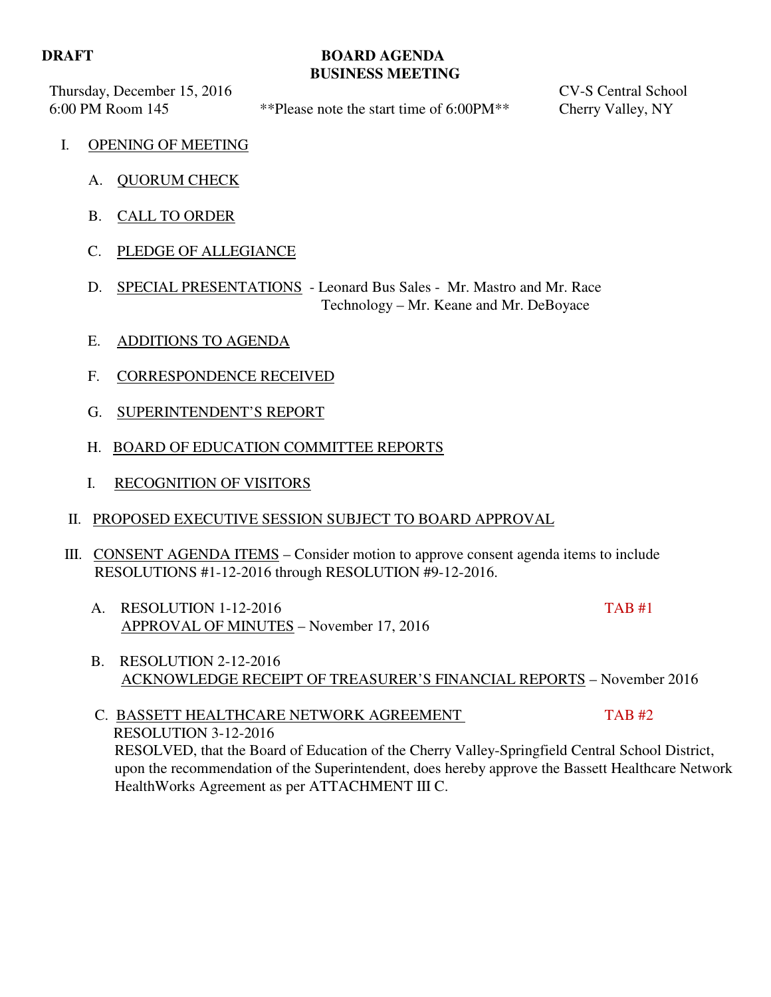## **DRAFT BOARD AGENDA BUSINESS MEETING**

Thursday, December 15, 2016 CV-S Central School

6:00 PM Room 145 \*\*Please note the start time of 6:00PM\*\* Cherry Valley, NY

- I. OPENING OF MEETING
	- A. QUORUM CHECK
	- B. CALL TO ORDER
	- C. PLEDGE OF ALLEGIANCE
	- D. SPECIAL PRESENTATIONS Leonard Bus Sales Mr. Mastro and Mr. Race Technology – Mr. Keane and Mr. DeBoyace
	- E. ADDITIONS TO AGENDA
	- F. CORRESPONDENCE RECEIVED
	- G. SUPERINTENDENT'S REPORT
	- H. BOARD OF EDUCATION COMMITTEE REPORTS
	- I. RECOGNITION OF VISITORS
	- II. PROPOSED EXECUTIVE SESSION SUBJECT TO BOARD APPROVAL
- III. CONSENT AGENDA ITEMS Consider motion to approve consent agenda items to include RESOLUTIONS #1-12-2016 through RESOLUTION #9-12-2016.
	- A. RESOLUTION 1-12-2016 TAB #1 APPROVAL OF MINUTES – November 17, 2016
- - B. RESOLUTION 2-12-2016 ACKNOWLEDGE RECEIPT OF TREASURER'S FINANCIAL REPORTS – November 2016

C. BASSETT HEALTHCARE NETWORK AGREEMENT TAB #2 RESOLUTION 3-12-2016 RESOLVED, that the Board of Education of the Cherry Valley-Springfield Central School District, upon the recommendation of the Superintendent, does hereby approve the Bassett Healthcare Network HealthWorks Agreement as per ATTACHMENT III C.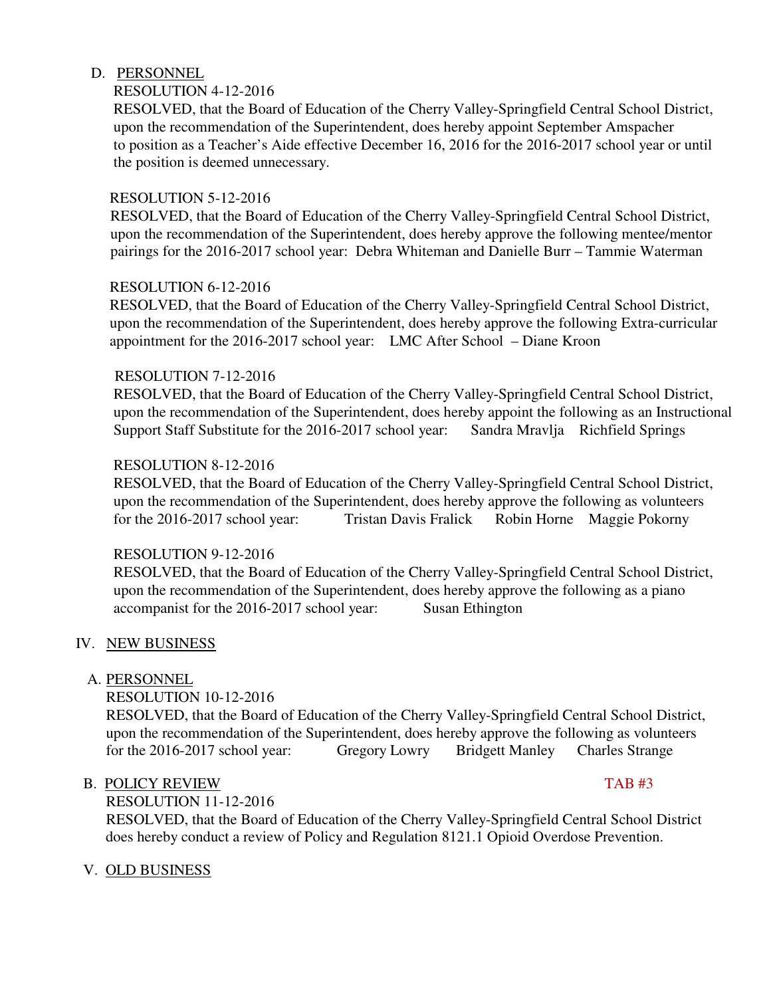## D. PERSONNEL

## RESOLUTION 4-12-2016

 RESOLVED, that the Board of Education of the Cherry Valley-Springfield Central School District, upon the recommendation of the Superintendent, does hereby appoint September Amspacher to position as a Teacher's Aide effective December 16, 2016 for the 2016-2017 school year or until the position is deemed unnecessary.

## RESOLUTION 5-12-2016

 RESOLVED, that the Board of Education of the Cherry Valley-Springfield Central School District, upon the recommendation of the Superintendent, does hereby approve the following mentee/mentor pairings for the 2016-2017 school year: Debra Whiteman and Danielle Burr – Tammie Waterman

### RESOLUTION 6-12-2016

 RESOLVED, that the Board of Education of the Cherry Valley-Springfield Central School District, upon the recommendation of the Superintendent, does hereby approve the following Extra-curricular appointment for the 2016-2017 school year: LMC After School – Diane Kroon

### RESOLUTION 7-12-2016

 RESOLVED, that the Board of Education of the Cherry Valley-Springfield Central School District, upon the recommendation of the Superintendent, does hereby appoint the following as an Instructional Support Staff Substitute for the 2016-2017 school year: Sandra Mravlja Richfield Springs

### RESOLUTION 8-12-2016

 RESOLVED, that the Board of Education of the Cherry Valley-Springfield Central School District, upon the recommendation of the Superintendent, does hereby approve the following as volunteers for the 2016-2017 school year: Tristan Davis Fralick Robin Horne Maggie Pokorny

### RESOLUTION 9-12-2016

 RESOLVED, that the Board of Education of the Cherry Valley-Springfield Central School District, upon the recommendation of the Superintendent, does hereby approve the following as a piano accompanist for the 2016-2017 school year: Susan Ethington

### IV. NEW BUSINESS

### A. PERSONNEL

RESOLUTION 10-12-2016

 RESOLVED, that the Board of Education of the Cherry Valley-Springfield Central School District, upon the recommendation of the Superintendent, does hereby approve the following as volunteers for the 2016-2017 school year: Gregory Lowry Bridgett Manley Charles Strange

### B. POLICY REVIEW TAB #3

RESOLUTION 11-12-2016

 RESOLVED, that the Board of Education of the Cherry Valley-Springfield Central School District does hereby conduct a review of Policy and Regulation 8121.1 Opioid Overdose Prevention.

### V. OLD BUSINESS